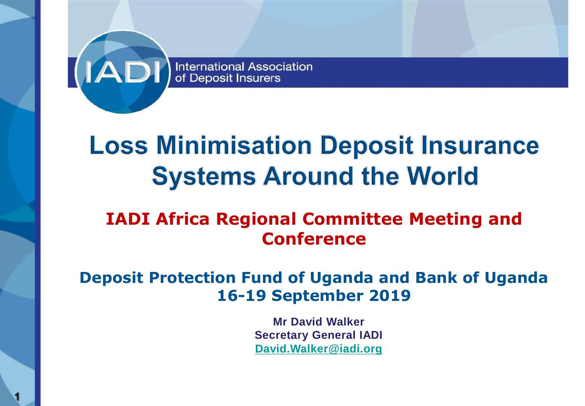

# **Loss Minimisation Deposit Insurance Systems Around the World**

### **IADI Africa Regional Committee Meeting and Conference**

#### **Deposit Protection Fund of Uganda and Bank of Uganda 16-19 September 2019**

**Mr David Walker Secretary General IADI [David.Walker@iadi.org](mailto:David.Walker@iadi.org)**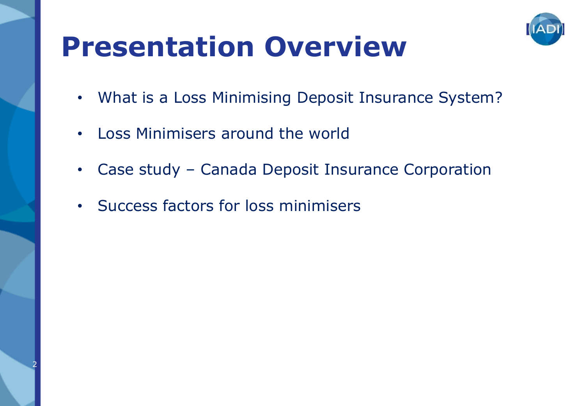

# **Presentation Overview**

- What is a Loss Minimising Deposit Insurance System?
- Loss Minimisers around the world
- Case study Canada Deposit Insurance Corporation
- Success factors for loss minimisers

2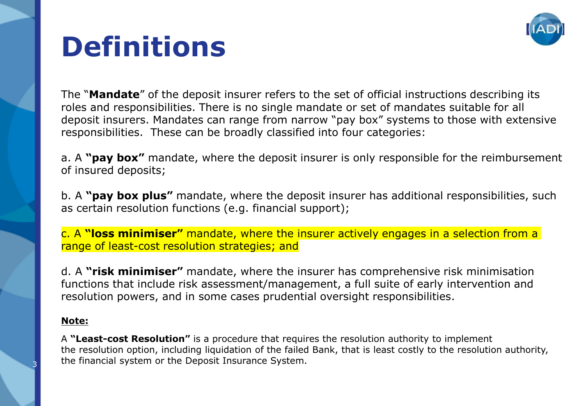

# **Definitions**

The "**Mandate**" of the deposit insurer refers to the set of official instructions describing its roles and responsibilities. There is no single mandate or set of mandates suitable for all deposit insurers. Mandates can range from narrow "pay box" systems to those with extensive responsibilities. These can be broadly classified into four categories:

a. A **"pay box"** mandate, where the deposit insurer is only responsible for the reimbursement of insured deposits;

b. A **"pay box plus"** mandate, where the deposit insurer has additional responsibilities, such as certain resolution functions (e.g. financial support);

c. A **"loss minimiser"** mandate, where the insurer actively engages in a selection from a range of least-cost resolution strategies; and

d. A **"risk minimiser"** mandate, where the insurer has comprehensive risk minimisation functions that include risk assessment/management, a full suite of early intervention and resolution powers, and in some cases prudential oversight responsibilities.

#### **Note:**

A **"Least-cost Resolution"** is a procedure that requires the resolution authority to implement the resolution option, including liquidation of the failed Bank, that is least costly to the resolution authority, the financial system or the Deposit Insurance System.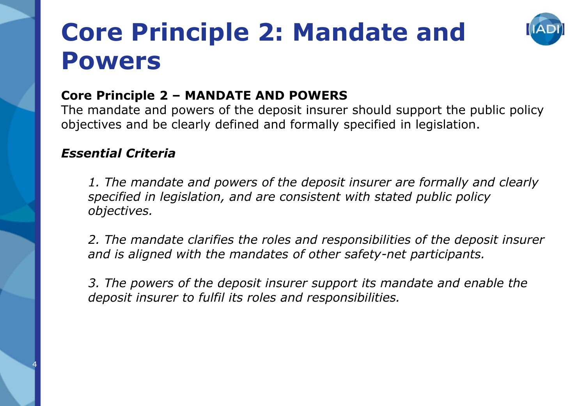## **Core Principle 2: Mandate and Powers**



#### **Core Principle 2 – MANDATE AND POWERS**

The mandate and powers of the deposit insurer should support the public policy objectives and be clearly defined and formally specified in legislation.

#### *Essential Criteria*

4

*1. The mandate and powers of the deposit insurer are formally and clearly specified in legislation, and are consistent with stated public policy objectives.* 

*2. The mandate clarifies the roles and responsibilities of the deposit insurer and is aligned with the mandates of other safety-net participants.* 

*3. The powers of the deposit insurer support its mandate and enable the deposit insurer to fulfil its roles and responsibilities.*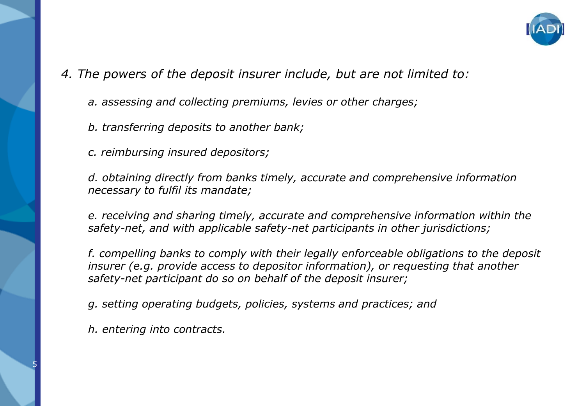

*4. The powers of the deposit insurer include, but are not limited to:* 

- *a. assessing and collecting premiums, levies or other charges;*
- *b. transferring deposits to another bank;*
- *c. reimbursing insured depositors;*

*d. obtaining directly from banks timely, accurate and comprehensive information necessary to fulfil its mandate;* 

*e. receiving and sharing timely, accurate and comprehensive information within the safety-net, and with applicable safety-net participants in other jurisdictions;* 

*f. compelling banks to comply with their legally enforceable obligations to the deposit insurer (e.g. provide access to depositor information), or requesting that another safety-net participant do so on behalf of the deposit insurer;* 

- *g. setting operating budgets, policies, systems and practices; and*
- *h. entering into contracts.*

5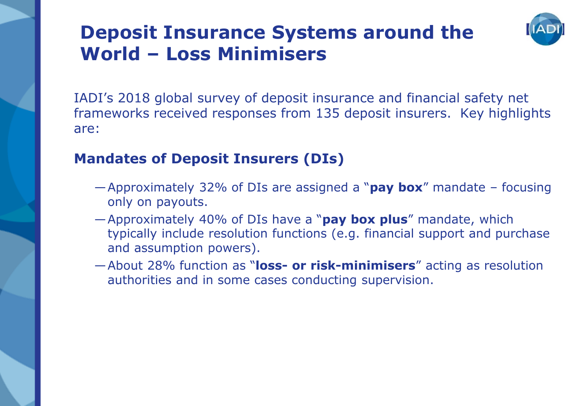### **Deposit Insurance Systems around the World – Loss Minimisers**



IADI's 2018 global survey of deposit insurance and financial safety net frameworks received responses from 135 deposit insurers. Key highlights are:

#### **Mandates of Deposit Insurers (DIs)**

- —Approximately 32% of DIs are assigned a "**pay box**" mandate focusing only on payouts.
- —Approximately 40% of DIs have a "**pay box plus**" mandate, which typically include resolution functions (e.g. financial support and purchase and assumption powers).
- —About 28% function as "**loss- or risk-minimisers**" acting as resolution authorities and in some cases conducting supervision.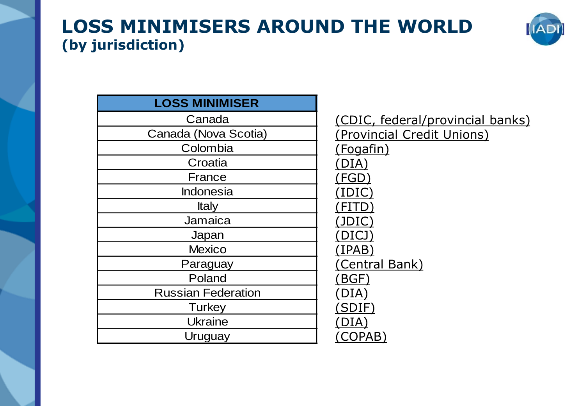### **LOSS MINIMISERS AROUND THE WORLD (by jurisdiction)**



| <b>LOSS MINIMISER</b>     |                            |
|---------------------------|----------------------------|
| Canada                    | (CDIC, federal/provincial  |
| Canada (Nova Scotia)      | (Provincial Credit Unions) |
| Colombia                  | (Fogafin)                  |
| Croatia                   | (DIA)                      |
| France                    | (FGD                       |
| Indonesia                 | (IDIC                      |
| <b>Italy</b>              | FITD)                      |
| Jamaica                   | (JDIC)                     |
| Japan                     | (DICJ                      |
| <b>Mexico</b>             | (IPAB)                     |
| Paraguay                  | (Central Bank)             |
| Poland                    | (BGF)                      |
| <b>Russian Federation</b> | [DIA]                      |
| Turkey                    | SDIF)                      |
| <b>Ukraine</b>            |                            |
| Uruguay                   | $\mathsf{COPAB}^n$         |

Canada (CDIC, federal/provincial banks) Colombia (Fogafin) Croatia (DIA) France Research (New York Canada Canada Canada Canada Canada Canada Canada Canada Canada Canada Canada Canada C Indonesia (IDIC) Italy (FITD) Jamaica <u>(JDIC)</u> (FGD) (FITD)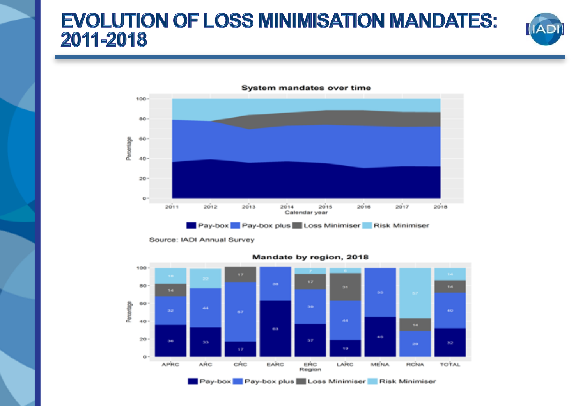### **EVOLUTION OF LOSS MINIMISATION MANDATES:** 2011-2018





**System mandates over time** 

Source: IADI Annual Survey



Mandate by region, 2018

Pay-box Pay-box plus Loss Minimiser Risk Minimiser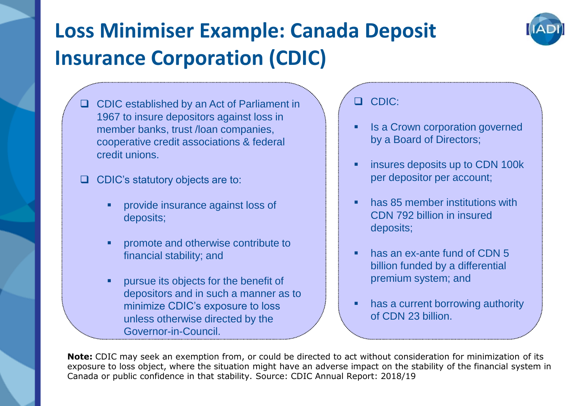### **Loss Minimiser Example: Canada Deposit Insurance Corporation (CDIC)**



❑ CDIC established by an Act of Parliament in 1967 to insure depositors against loss in member banks, trust /loan companies, cooperative credit associations & federal credit unions.

❑ CDIC's statutory objects are to:

- provide insurance against loss of deposits;
- promote and otherwise contribute to financial stability; and
- pursue its objects for the benefit of depositors and in such a manner as to minimize CDIC's exposure to loss unless otherwise directed by the Governor-in-Council.

❑ CDIC:

- Is a Crown corporation governed by a Board of Directors;
- **E** insures deposits up to CDN 100k per depositor per account;
- has 85 member institutions with CDN 792 billion in insured deposits;
- has an ex-ante fund of CDN 5 billion funded by a differential premium system; and
- has a current borrowing authority of CDN 23 billion.

**Note:** CDIC may seek an exemption from, or could be directed to act without consideration for minimization of its exposure to loss object, where the situation might have an adverse impact on the stability of the financial system in Canada or public confidence in that stability. Source: CDIC Annual Report: 2018/19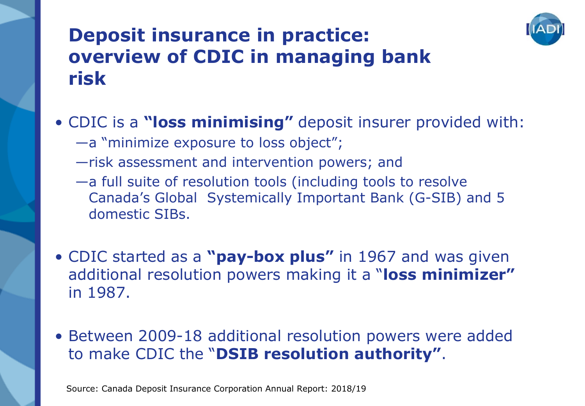

### **Deposit insurance in practice: overview of CDIC in managing bank risk**

#### • CDIC is a **"loss minimising"** deposit insurer provided with:

- —a "minimize exposure to loss object";
- —risk assessment and intervention powers; and
- —a full suite of resolution tools (including tools to resolve Canada's Global Systemically Important Bank (G-SIB) and 5 domestic SIBs.
- CDIC started as a **"pay-box plus"** in 1967 and was given additional resolution powers making it a "**loss minimizer"**  in 1987.
- Between 2009-18 additional resolution powers were added to make CDIC the "**DSIB resolution authority"**.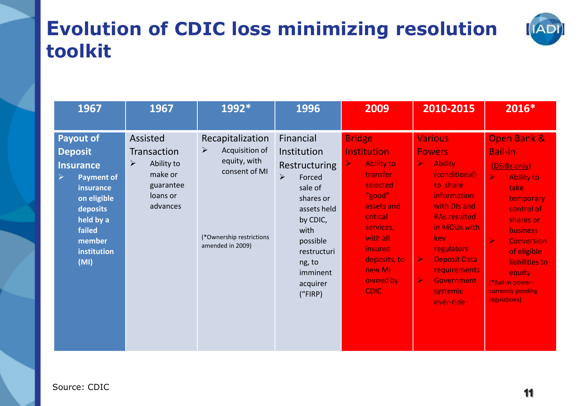### **Evolution of CDIC loss minimizing resolution toolkit**



| 1967                                                                                                                                                                             | 1967                                                                                              | 1992*                                                                                                                                        | 1996                                                                                                                                                                                        | 2009                                                                                                                                                                                                                                     | 2010-2015                                                                                                                                                                                                                                                                                                                                 | 2016*                                                                                                                                                                                                                                                                                                                   |
|----------------------------------------------------------------------------------------------------------------------------------------------------------------------------------|---------------------------------------------------------------------------------------------------|----------------------------------------------------------------------------------------------------------------------------------------------|---------------------------------------------------------------------------------------------------------------------------------------------------------------------------------------------|------------------------------------------------------------------------------------------------------------------------------------------------------------------------------------------------------------------------------------------|-------------------------------------------------------------------------------------------------------------------------------------------------------------------------------------------------------------------------------------------------------------------------------------------------------------------------------------------|-------------------------------------------------------------------------------------------------------------------------------------------------------------------------------------------------------------------------------------------------------------------------------------------------------------------------|
| <b>Payout of</b><br><b>Deposit</b><br><b>Insurance</b><br><b>Payment of</b><br>➤<br>insurance<br>on eligible<br>deposits<br>held by a<br>failed<br>member<br>institution<br>(MI) | Assisted<br><b>Transaction</b><br>Ability to<br>➤<br>make or<br>guarantee<br>loans or<br>advances | Recapitalization<br>$\blacktriangleright$<br>Acquisition of<br>equity, with<br>consent of MI<br>(*Ownership restrictions<br>amended in 2009) | Financial<br>Institution<br>Restructuring<br>≻<br>Forced<br>sale of<br>shares or<br>assets held<br>by CDIC,<br>with<br>possible<br>restructuri<br>ng, to<br>imminent<br>acquirer<br>('FIRP) | <b>Bridge</b><br><b>Institution</b><br><b>Ability to</b><br>$\blacktriangle$<br>transfer<br>selected<br>"good"<br>assets and<br>critical<br>services,<br>with all<br><i>insured</i><br>deposits, to<br>new MI<br>owned by<br><b>CDIC</b> | <b>Various</b><br><b>Powers</b><br>$\blacktriangleright$<br><b>Ability</b><br>(conditional)<br>to share<br>information<br>with DIs and<br><b>RAs resulted</b><br>in MOUs with<br>key<br><b>regulators</b><br>$\blacktriangleright$<br><b>Deposit Data</b><br>requirements<br>$\blacktriangleright$<br>Government<br>systemic<br>over-ride | <b>Open Bank &amp;</b><br><b>Bail-in</b><br>(DSIBs only)<br>$\blacktriangle$<br><b>Ability to</b><br>take<br>temporary<br>control of<br>shares or<br><b>business</b><br>$\blacktriangleright$<br><b>Conversion</b><br>of eligible<br>liabilities to<br>equity<br>(*Bail-in power -<br>currently pending<br>regulations) |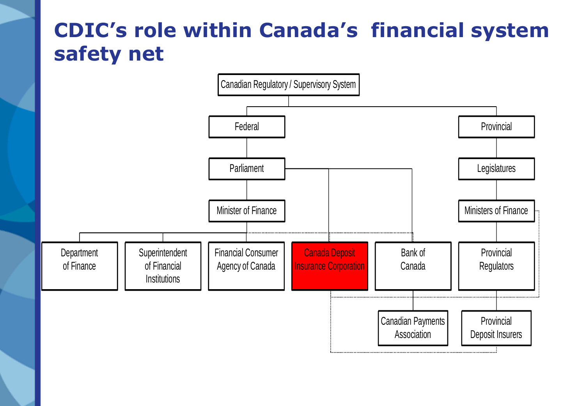### **CDIC's role within Canada's financial system safety net**

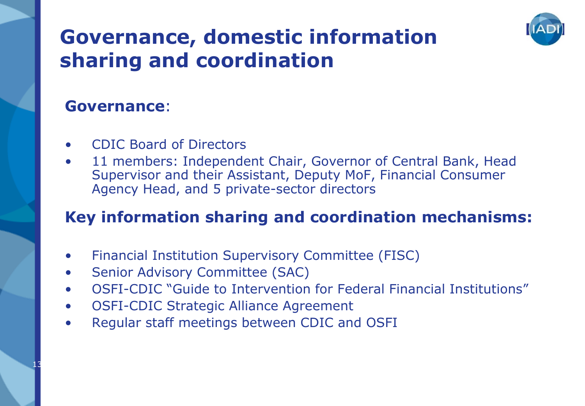### **Governance, domestic information sharing and coordination**



13

- CDIC Board of Directors
- 11 members: Independent Chair, Governor of Central Bank, Head Supervisor and their Assistant, Deputy MoF, Financial Consumer Agency Head, and 5 private-sector directors

#### **Key information sharing and coordination mechanisms:**

- Financial Institution Supervisory Committee (FISC)
- Senior Advisory Committee (SAC)
- OSFI-CDIC "Guide to Intervention for Federal Financial Institutions"
- OSFI-CDIC Strategic Alliance Agreement
- Regular staff meetings between CDIC and OSFI

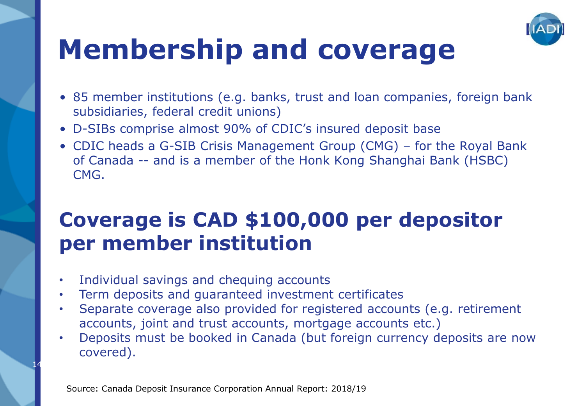

# **Membership and coverage**

- 85 member institutions (e.g. banks, trust and loan companies, foreign bank subsidiaries, federal credit unions)
- D-SIBs comprise almost 90% of CDIC's insured deposit base
- CDIC heads a G-SIB Crisis Management Group (CMG) for the Royal Bank of Canada -- and is a member of the Honk Kong Shanghai Bank (HSBC) CMG.

### **Coverage is CAD \$100,000 per depositor per member institution**

Individual savings and chequing accounts

14

- Term deposits and guaranteed investment certificates
- Separate coverage also provided for registered accounts (e.g. retirement accounts, joint and trust accounts, mortgage accounts etc.)
- Deposits must be booked in Canada (but foreign currency deposits are now covered).

Source: Canada Deposit Insurance Corporation Annual Report: 2018/19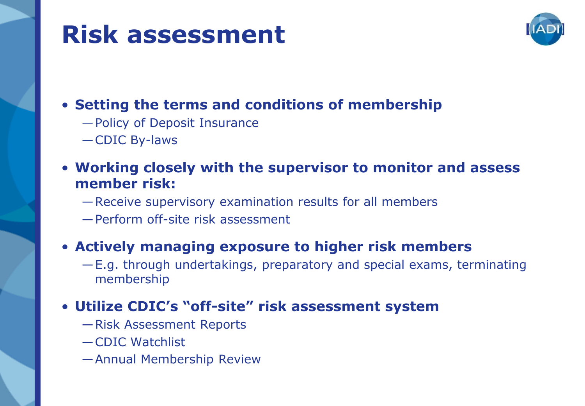## **Risk assessment**



#### • **Setting the terms and conditions of membership**

- —Policy of Deposit Insurance
- —CDIC By-laws
- **Working closely with the supervisor to monitor and assess member risk:**
	- —Receive supervisory examination results for all members
	- —Perform off-site risk assessment

#### • **Actively managing exposure to higher risk members**

—E.g. through undertakings, preparatory and special exams, terminating membership

#### • **Utilize CDIC's "off-site" risk assessment system**

- —Risk Assessment Reports
- —CDIC Watchlist
- —Annual Membership Review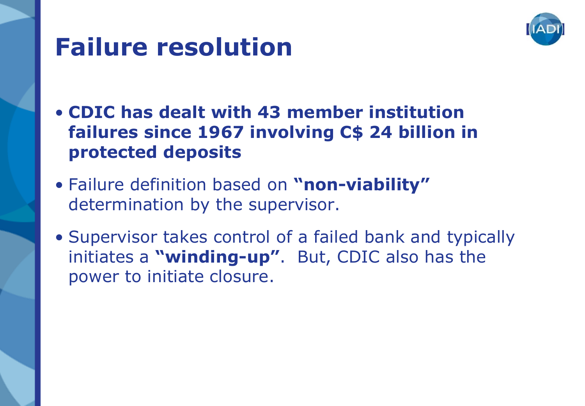

# **Failure resolution**

- **CDIC has dealt with 43 member institution failures since 1967 involving C\$ 24 billion in protected deposits**
- Failure definition based on **"non-viability"**  determination by the supervisor.
- Supervisor takes control of a failed bank and typically initiates a **"winding-up"**. But, CDIC also has the power to initiate closure.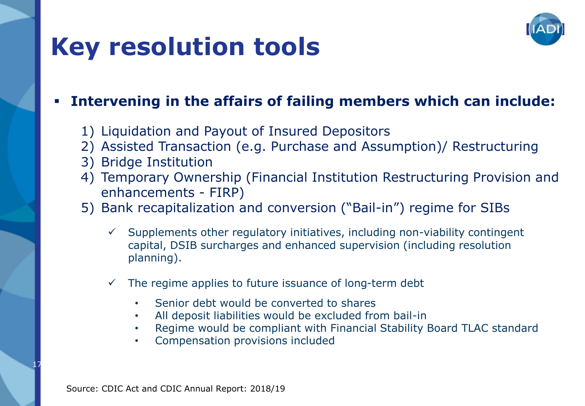# **Key resolution tools**



#### ▪ **Intervening in the affairs of failing members which can include:**

- 1) Liquidation and Payout of Insured Depositors
- 2) Assisted Transaction (e.g. Purchase and Assumption)/ Restructuring
- 3) Bridge Institution
- 4) Temporary Ownership (Financial Institution Restructuring Provision and enhancements - FIRP)
- 5) Bank recapitalization and conversion ("Bail-in") regime for SIBs
	- Supplements other regulatory initiatives, including non-viability contingent capital, DSIB surcharges and enhanced supervision (including resolution planning).
	- The regime applies to future issuance of long-term debt
		- Senior debt would be converted to shares
		- All deposit liabilities would be excluded from bail-in
		- Regime would be compliant with Financial Stability Board TLAC standard
		- Compensation provisions included

17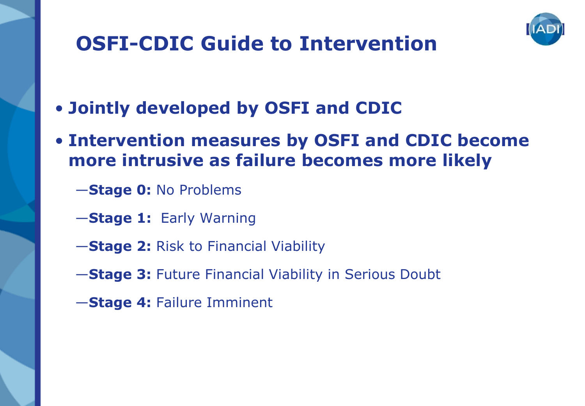

### **OSFI-CDIC Guide to Intervention**

- **Jointly developed by OSFI and CDIC**
- **Intervention measures by OSFI and CDIC become more intrusive as failure becomes more likely**
	- —**Stage 0:** No Problems
	- —**Stage 1:** Early Warning
	- —**Stage 2:** Risk to Financial Viability
	- —**Stage 3:** Future Financial Viability in Serious Doubt
	- —**Stage 4:** Failure Imminent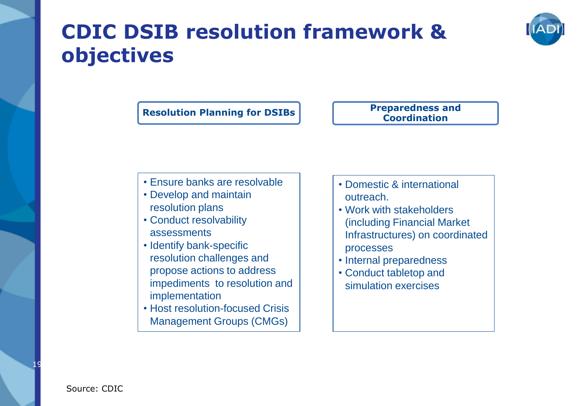### **CDIC DSIB resolution framework & objectives**

**Resolution Planning for DSIBs Preparedness and Preparedness and** 

**Coordination**

- Ensure banks are resolvable
- Develop and maintain resolution plans
- Conduct resolvability assessments
- Identify bank-specific resolution challenges and propose actions to address impediments to resolution and implementation
- Host resolution-focused Crisis Management Groups (CMGs)
- Domestic & international outreach.
- Work with stakeholders (including Financial Market Infrastructures) on coordinated processes
- Internal preparedness
- Conduct tabletop and simulation exercises

19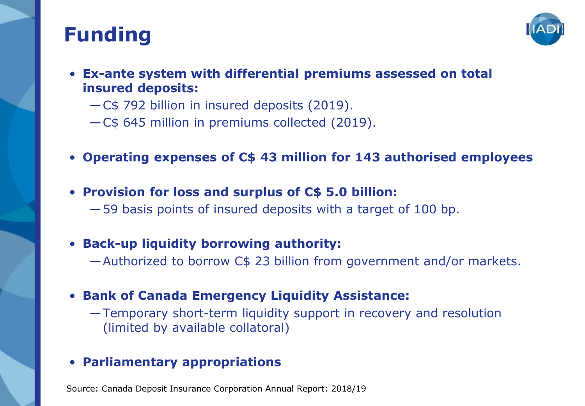### **Funding**



- **Ex-ante system with differential premiums assessed on total insured deposits:** 
	- —C\$ 792 billion in insured deposits (2019).
	- —C\$ 645 million in premiums collected (2019).
- **Operating expenses of C\$ 43 million for 143 authorised employees**
- **Provision for loss and surplus of C\$ 5.0 billion:**
	- —59 basis points of insured deposits with a target of 100 bp.
- **Back-up liquidity borrowing authority:** 
	- —Authorized to borrow C\$ 23 billion from government and/or markets.
- **Bank of Canada Emergency Liquidity Assistance:** 
	- —Temporary short-term liquidity support in recovery and resolution (limited by available collatoral)

#### • **Parliamentary appropriations**

Source: Canada Deposit Insurance Corporation Annual Report: 2018/19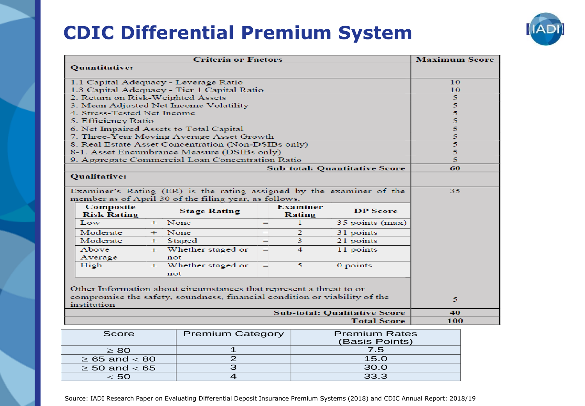### **CDIC Differential Premium System**



| <b>Criteria or Factors</b>                                                               |                                        |     |                                                     |     | <b>Maximum Score</b>      |                                      |    |
|------------------------------------------------------------------------------------------|----------------------------------------|-----|-----------------------------------------------------|-----|---------------------------|--------------------------------------|----|
|                                                                                          | <b>Quantitative:</b>                   |     |                                                     |     |                           |                                      |    |
|                                                                                          |                                        |     | 1.1 Capital Adequacy - Leverage Ratio               |     |                           |                                      | 10 |
|                                                                                          |                                        |     | 1.3 Capital Adequacy - Tier 1 Capital Ratio         |     |                           |                                      | 10 |
|                                                                                          | 2. Return on Risk-Weighted Assets      |     |                                                     |     |                           |                                      | 5  |
|                                                                                          | 3. Mean Adjusted Net Income Volatility |     |                                                     |     | 5                         |                                      |    |
|                                                                                          | 4. Stress-Tested Net Income            |     |                                                     |     |                           |                                      | 5  |
|                                                                                          | 5. Efficiency Ratio                    |     |                                                     |     |                           |                                      | 5  |
|                                                                                          |                                        |     | 6. Net Impaired Assets to Total Capital             |     |                           |                                      | 5  |
|                                                                                          |                                        |     | 7. Three-Year Moving Average Asset Growth           |     |                           |                                      | 5  |
|                                                                                          |                                        |     | 8. Real Estate Asset Concentration (Non-DSIBs only) |     |                           |                                      | 5  |
|                                                                                          |                                        |     | 8-1. Asset Encumbrance Measure (DSIBs only)         |     |                           |                                      | 5  |
|                                                                                          |                                        |     | 9. Aggregate Commercial Loan Concentration Ratio    |     |                           |                                      | 5  |
|                                                                                          |                                        |     |                                                     |     |                           | <b>Sub-total: Quantitative Score</b> | 60 |
| <b>Qualitative:</b>                                                                      |                                        |     |                                                     |     |                           |                                      |    |
| Examiner's Rating (ER) is the rating assigned by the examiner of the                     |                                        |     |                                                     |     | 35                        |                                      |    |
| member as of April 30 of the filing year, as follows.                                    |                                        |     |                                                     |     |                           |                                      |    |
|                                                                                          | Composite<br><b>Risk Rating</b>        |     | <b>Stage Rating</b>                                 |     | <b>Examiner</b><br>Rating | <b>DP</b> Score                      |    |
|                                                                                          | Low                                    |     | + None                                              | $=$ | 1                         | 35 points (max)                      |    |
|                                                                                          | Moderate                               |     | + None                                              | $=$ | $\overline{2}$            | 31 points                            |    |
|                                                                                          | Moderate                               | $+$ | Staged                                              | $=$ | 3                         | 21 points                            |    |
|                                                                                          | Above                                  |     | + Whether staged or                                 | $=$ | $\overline{4}$            | 11 points                            |    |
|                                                                                          | Average                                |     | not                                                 |     |                           |                                      |    |
|                                                                                          | High                                   |     | + Whether staged or                                 | $=$ | 5                         | 0 points                             |    |
|                                                                                          |                                        |     | not                                                 |     |                           |                                      |    |
| Other Information about circumstances that represent a threat to or                      |                                        |     |                                                     |     |                           |                                      |    |
| compromise the safety, soundness, financial condition or viability of the<br>institution |                                        |     |                                                     | 5.  |                           |                                      |    |
| <b>Sub-total: Qualitative Score</b>                                                      |                                        |     |                                                     | 40  |                           |                                      |    |
| <b>Total Score</b>                                                                       |                                        |     |                                                     | 100 |                           |                                      |    |

| Score                | <b>Premium Category</b> | <b>Premium Rates</b><br>(Basis Points) |
|----------------------|-------------------------|----------------------------------------|
| $\geq 80$            |                         | 7.5                                    |
| $\geq 65$ and $< 80$ |                         | 15.0                                   |
| $\geq$ 50 and $<$ 65 |                         | 30.0                                   |
| - 50                 |                         | 33.3                                   |

Source: IADI Research Paper on Evaluating Differential Deposit Insurance Premium Systems (2018) and CDIC Annual Report: 2018/19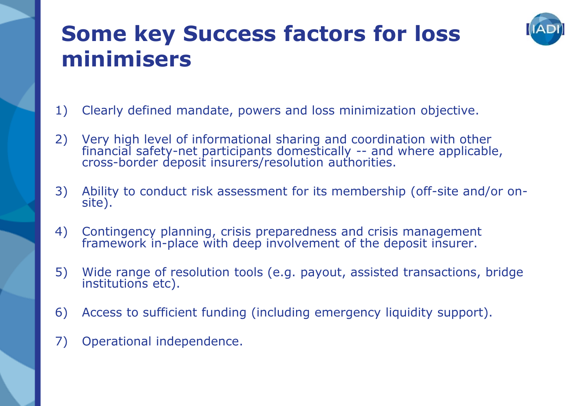### **Some key Success factors for loss minimisers**



- 1) Clearly defined mandate, powers and loss minimization objective.
- 2) Very high level of informational sharing and coordination with other financial safety-net participants domestically -- and where applicable, cross-border deposit insurers/resolution authorities.
- 3) Ability to conduct risk assessment for its membership (off-site and/or onsite).
- 4) Contingency planning, crisis preparedness and crisis management framework in-place with deep involvement of the deposit insurer.
- 5) Wide range of resolution tools (e.g. payout, assisted transactions, bridge institutions etc).
- 6) Access to sufficient funding (including emergency liquidity support).
- 7) Operational independence.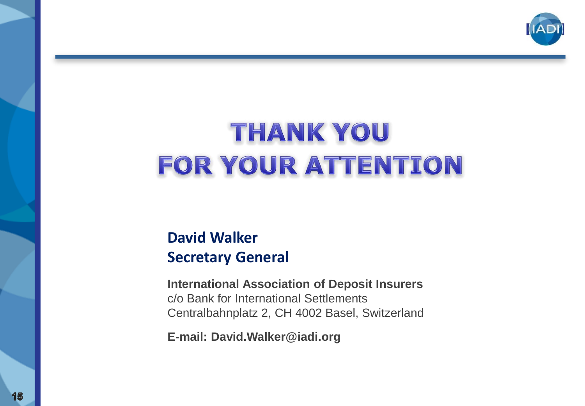

# THANK YOU FOR YOUR ATTENTION

#### **David Walker Secretary General**

**International Association of Deposit Insurers** c/o Bank for International Settlements Centralbahnplatz 2, CH 4002 Basel, Switzerland

**E-mail: David.Walker@iadi.org**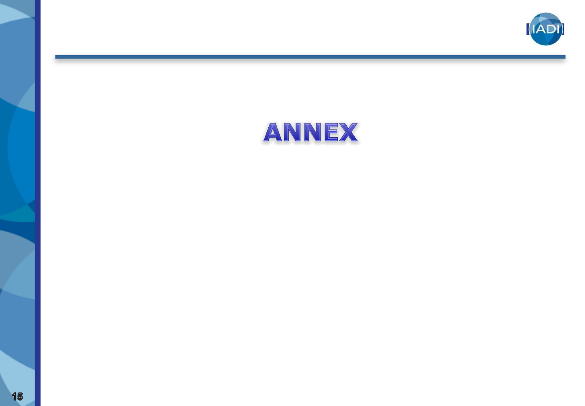

## ANNEX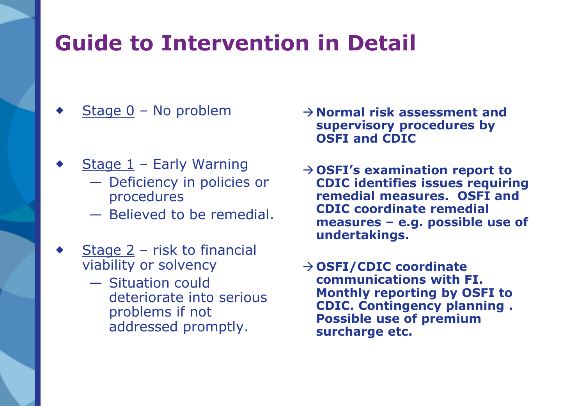### **Guide to Intervention in Detail**

- Stage 0 No problem
- Stage  $1$  Early Warning
	- Deficiency in policies or procedures
	- Believed to be remedial.
- Stage 2 risk to financial viability or solvency
	- Situation could deteriorate into serious problems if not addressed promptly.
- →**Normal risk assessment and supervisory procedures by OSFI and CDIC**
- →**OSFI's examination report to CDIC identifies issues requiring remedial measures. OSFI and CDIC coordinate remedial measures – e.g. possible use of undertakings.**
- →**OSFI/CDIC coordinate communications with FI. Monthly reporting by OSFI to CDIC. Contingency planning . Possible use of premium surcharge etc.**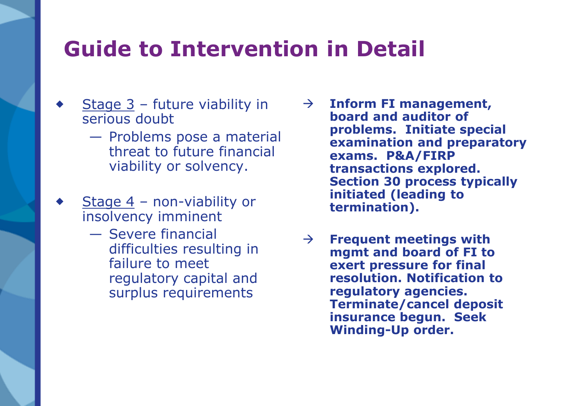### **Guide to Intervention in Detail**

- Stage 3 future viability in serious doubt
	- Problems pose a material threat to future financial viability or solvency.
- Stage  $4$  non-viability or insolvency imminent
	- Severe financial difficulties resulting in failure to meet regulatory capital and surplus requirements
- → **Inform FI management, board and auditor of problems. Initiate special examination and preparatory exams. P&A/FIRP transactions explored. Section 30 process typically initiated (leading to termination).**
- → **Frequent meetings with mgmt and board of FI to exert pressure for final resolution. Notification to regulatory agencies. Terminate/cancel deposit insurance begun. Seek Winding-Up order.**